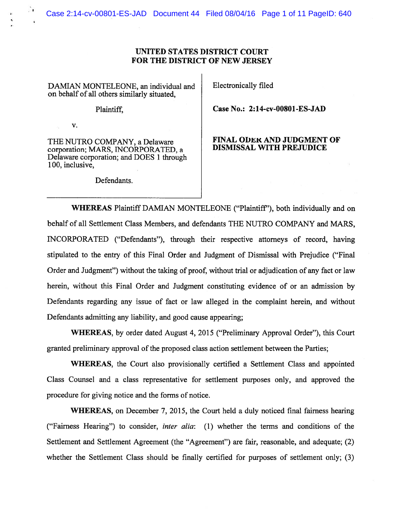## UNITED STATES DISTRICT COURT FOR THE DISTRICT OF NEW JERSEY

DAMIAN MONTELEONE, an individual and Electronically filed on behalf of all others similarly situated,

V.

corporation; MARS, INCORPORATED, a Delaware corporation; and DOES 1 through 100, inclusive,

Defendants.

Plaintiff, Case No.: 2:14-cv-00801-ES-JAD

## THE NUTRO COMPANY, a Delaware FINAL ODER AND JUDGMENT OF<br>corporation: MARS, INCORPORATED

WHEREAS Plaintiff DAMIAN MONTELEONE ("Plaintiff'), both individually and on behalf of all Settlement Class Members, and defendants THE NUTRO COMPANY and MARS, INCORPORATED ("Defendants"), through their respective attorneys of record, having stipulated to the entry of this Final Order and Judgment of Dismissal with Prejudice ("Final Order and Judgment") without the taking of proof, without trial or adjudication of any fact or law herein, without this Final Order and Judgment constituting evidence of or an admission by Defendants regarding any issue of fact or law alleged in the complaint herein, and without Defendants admitting any liability, and good cause appearing;

WHEREAS, by order dated August 4, 2015 ("Preliminary Approval Order"), this Court granted preliminary approval of the proposed class action settlement between the Parties;

WHEREAS, the Court also provisionally certified <sup>a</sup> Settlement Class and appointed Class Counsel and <sup>a</sup> class representative for settlement purposes only, and approved the procedure for giving notice and the forms of notice.

WHEREAS, on December 7, 2015, the Court held <sup>a</sup> duly noticed final fairness hearing ("Fairness Hearing") to consider, *inter alia*: (1) whether the terms and conditions of the Settlement and Settlement Agreement (the "Agreement") are fair, reasonable, and adequate; (2) whether the Settlement Class should be finally certified for purposes of settlement only; (3)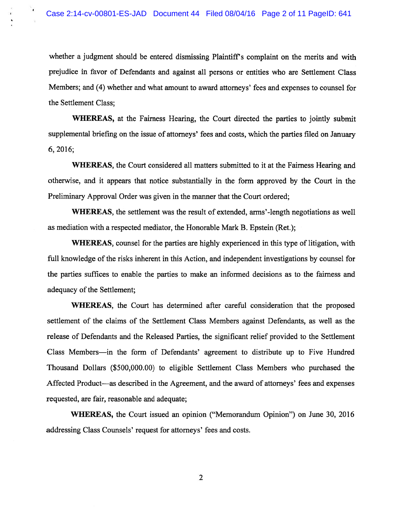whether <sup>a</sup> judgment should be entered dismissing Plaintiff's complaint on the merits and with prejudice in favor of Defendants and against all persons or entities who are Settlement Class Members; and (4) whether and what amount to award attorneys' fees and expenses to counsel for the Settlement Class;

WHEREAS, at the Fairness Hearing, the Court directed the parties to jointly submit supplemental briefing on the issue of attorneys' fees and costs, which the parties filed on January 6,2016;

WHEREAS, the Court considered all matters submitted to it at the Fairness Hearing and otherwise, and it appears that notice substantially in the form approved by the Court in the Preliminary Approval Order was given in the manner that the Court ordered;

WHEREAS, the settlement was the result of extended, arms'-length negotiations as well as mediation with <sup>a</sup> respected mediator, the Honorable Mark B. Epstein (Ret.);

WHEREAS, counsel for the parties are highly experienced in this type of litigation, with full knowledge of the risks inherent in this Action, and independent investigations by counsel for the parties suffices to enable the parties to make an informed decisions as to the fairness and adequacy of the Settlement;

WHEREAS, the Court has determined after careful consideration that the proposed settlement of the claims of the Settlement Class Members against Defendants, as well as the release of Defendants and the Released Parties, the significant relief provided to the Settlement Class Members—in the form of Defendants' agreemen<sup>t</sup> to distribute up to Five Hundred Thousand Dollars (\$500,000.00) to eligible Settlement Class Members who purchased the Affected Product—as described in the Agreement, and the award of attorneys' fees and expenses requested, are fair, reasonable and adequate;

WHEREAS, the Court issued an opinion ("Memorandum Opinion") on June 30, 2016 addressing Class Counsels' reques<sup>t</sup> for attorneys' fees and costs.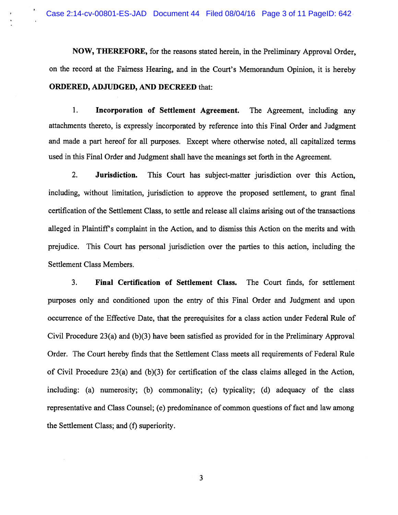NOW, THEREFORE, for the reasons stated herein, in the Preliminary Approval Order, on the record at the Fairness Hearing, and in the Court's Memorandum Opinion, it is hereby ORDERED, ADJUDGED, AND DECREED that:

1. Incorporation of Settlement Agreement. The Agreement, including any attachments thereto, is expressly incorporated by reference into this Final Order and Judgment and made <sup>a</sup> par<sup>t</sup> hereof for all purposes. Except where otherwise noted, all capitalized terms used in this Final Order and Judgment shall have the meanings set forth in the Agreement.

2. Jurisdiction. This Court has subject-matter jurisdiction over this Action, including, without limitation, jurisdiction to approve the proposed settlement, to gran<sup>t</sup> final certification of the Settlement Class, to settle and release all claims arising out of the transactions alleged in Plaintiffs complaint in the Action, and to dismiss this Action on the merits and with prejudice. This Court has personal jurisdiction over the parties to this action, including the Settlement Class Members.

3. Final Certification of Settlement Class. The Court finds, for settlement purposes only and conditioned upon the entry of this Final Order and Judgment and upon occurrence of the Effective Date, that the prerequisites for <sup>a</sup> class action under Federal Rule of Civil Procedure 23(a) and (b)(3) have been satisfied as provided for in the Preliminary Approval Order. The Court hereby finds that the Settlement Class meets all requirements of Federal Rule of Civil Procedure 23(a) and (b)(3) for certification of the class claims alleged in the Action, including: (a) numerosity; (b) commonality; (c) typicality; (d) adequacy of the class representative and Class Counsel; (e) predominance of common questions of fact and law among the Settlement Class; and (f) superiority.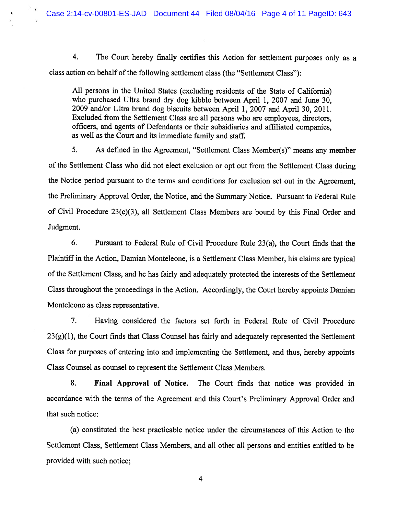4. The Court hereby finally certifies this Action for settlement purposes only as <sup>a</sup> class action on behalf of the following settlement class (the "Settlement Class"):

All persons in the United States (excluding residents of the State of California) who purchased Ultra brand dry dog kibble between April 1, 2007 and June 30, <sup>2009</sup> and/or Ultra brand dog biscuits between April 1, <sup>2007</sup> and April 30, 2011. Excluded from the Settlement Class are all persons who are employees, directors, officers, and agents of Defendants or their subsidiaries and affiliated companies, as well as the Court and its immediate family and staff.

5. As defined in the Agreement, "Settlement Class Member(s)" means any member of the Settlement Class who did not elect exclusion or op<sup>t</sup> out from the Settlement Class during the Notice period pursuan<sup>t</sup> to the terms and conditions for exclusion set out in the Agreement, the Preliminary Approval Order, the Notice, and the Summary Notice. Pursuant to Federal Rule of Civil Procedure 23(c)(3), all Settlement Class Members are bound by this Final Order and Judgment.

6. Pursuant to Federal Rule of Civil Procedure Rule 23(a), the Court finds that the Plaintiff in the Action, Damian Monteleone, is <sup>a</sup> Settlement Class Member, his claims are typical ofthe Settlement Class, and he has fairly and adequately protected the interests of the Settlement Class throughout the proceedings in the Action. Accordingly, the Court hereby appoints Damian Monteleone as class representative.

7. Having considered the factors set forth in Federal Rule of Civil Procedure 23(g)(1), the Court finds that Class Counsel has fairly and adequately represented the Settlement Class for purposes of entering into and implementing the Settlement, and thus, hereby appoints Class Counsel as counsel to represen<sup>t</sup> the Settlement Class Members.

8. Final Approval of Notice. The Court finds that notice was provided in accordance with the terms of the Agreement and this Court's Preliminary Approval Order and that such notice:

(a) constituted the best practicable notice under the circumstances of this Action to the Settlement Class, Settlement Class Members, and all other all persons and entities entitled to be provided with such notice;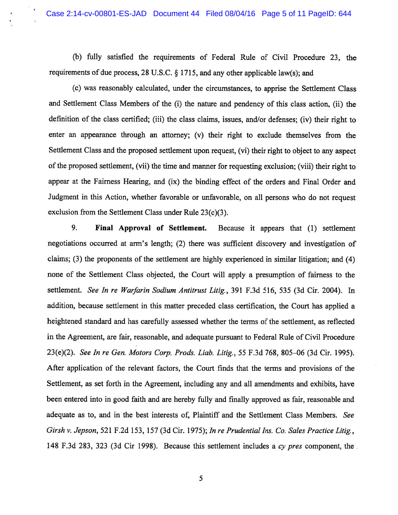(b) fully satisfied the requirements of Federal Rule of Civil Procedure 23, the requirements of due process, <sup>28</sup> U.S.C. § 1715, and any other applicable law(s); and

(c) was reasonably calculated, under the circumstances, to apprise the Settlement Class and Settlement Class Members of the (i) the nature and pendency of this class action, (ii) the definition of the class certified; (iii) the class claims, issues, and/or defenses; (iv) their right to enter an appearance through an attorney; (v) their right to exclude themselves from the Settlement Class and the propose<sup>d</sup> settlement upon request, (vi) their right to object to any aspec<sup>t</sup> of the proposed settlement, (vii) the time and manner for requesting exclusion; (viii) their right to appear at the Fairness Hearing, and (ix) the binding effect of the orders and Final Order and Judgment in this Action, whether favorable or unfavorable, on all persons who do not reques<sup>t</sup> exclusion from the Settlement Class under Rule 23(c)(3).

9. Final Approval of Settlement. Because it appears that (1) settlement negotiations occurred at arm's length; (2) there was sufficient discovery and investigation of claims; (3) the proponents of the settlement are highly experienced in similar litigation; and (4) none of the Settlement Class objected, the Court will apply <sup>a</sup> presumption of fairness to the settlement. See In re Warfarin Sodium Antitrust Litig., 391 F.3d 516, 535 (3d Cir. 2004). In addition, because settlement in this matter preceded class certification, the Court has applied <sup>a</sup> heightened standard and has carefully assessed whether the terms of the settlement, as reflected in the Agreement, are fair, reasonable, and adequate pursuan<sup>t</sup> to Federal Rule of Civil Procedure 23(e)(2). See In re Gen. Motors Corp. Prods. Liab. Litig., 55 F.3d 768, 805—06 (3d Cir. 1995). After application of the relevant factors, the Court finds that the terms and provisions of the Settlement, as set forth in the Agreement, including any and all amendments and exhibits, have been entered into in good faith and are hereby fully and finally approved as fair, reasonable and adequate as to, and in the best interests of, Plaintiff and the Settlement Class Members. See Girsh v. Jepson, 521 F.2d 153, 157 (3d Cir. 1975); In re Prudential Ins. Co. Sales Practice Litig., 148 F.3d 283, 323 (3d Cir 1998). Because this settlement includes <sup>a</sup> cy pres component, the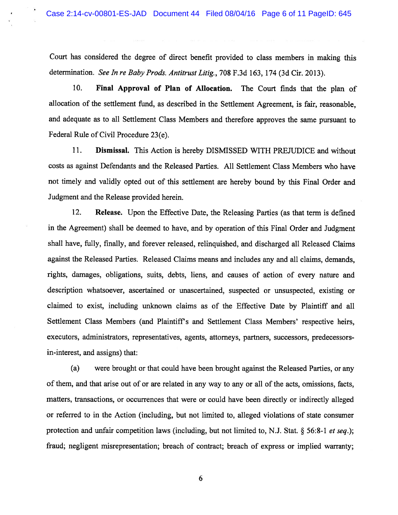Court has considered the degree of direct benefit provided to class members in making this determination. See In re Baby Prods. Antitrust Litig., 708 F.3d 163, 174 (3d Cir. 2013).

10. Final Approval of Plan of Allocation. The Court finds that the <sup>p</sup>lan of allocation of the settlement fund, as described in the Settlement Agreement, is fair, reasonable, and adequate as to all Settlement Class Members and therefore approves the same pursuan<sup>t</sup> to Federal Rule of Civil Procedure 23(e).

11. Dismissal. This Action is hereby DISMISSED WITH PREJUDICE and without costs as against Defendants and the Released Parties. All Settlement Class Members who have not timely and validly opted out of this settlement are hereby bound by this Final Order and Judgment and the Release provided herein.

12. Release. Upon the Effective Date, the Releasing Parties (as that term is defined in the Agreement) shall be deemed to have, and by operation of this Final Order and Judgment shall have, fully, finally, and forever released, relinquished, and discharged all Released Claims against the Released Parties. Released Claims means and includes any and all claims, demands, rights, damages, obligations, suits, debts, liens, and causes of action of every nature and description whatsoever, ascertained or unascertained, suspected or unsuspected, existing or claimed to exist, including unknown claims as of the Effective Date by Plaintiff and all Settlement Class Members (and Plaintiff's and Settlement Class Members' respective heirs, executors, administrators, representatives, agents, attorneys, partners, successors, predecessorsin-interest, and assigns) that:

(a) were brought or that could have been brought against the Released Parties, or any of them, and that arise out of or are related in any way to any or all of the acts, omissions, facts, matters, transactions, or occurrences that were or could have been directly or indirectly alleged or referred to in the Action (including, but not limited to, alleged violations of state consumer protection and unfair competition laws (including, but not limited to, N.J. Stat.  $\S$  56:8-1 *et seq.*); fraud; negligent misrepresentation; breach of contract; breach of express or implied warranty;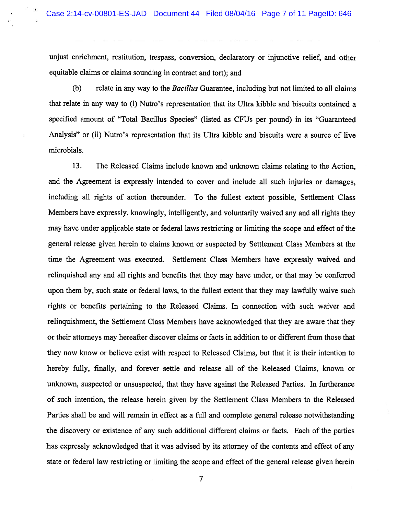unjust enrichment, restitution, trespass, conversion, declaratory or injunctive relief, and other equitable claims or claims sounding in contract and tort); and

(b) relate in any way to the *Bacillus* Guarantee, including but not limited to all claims that relate in any way to (i) Nutro's representation that its Ultra kibble and biscuits contained <sup>a</sup> specified amount of "Total Bacillus Species" (listed as CFUs per pound) in its "Guaranteed Analysis" or (ii) Nutro's representation that its Ultra kibble and biscuits were <sup>a</sup> source of live microbials.

13. The Released Claims include known and unknown claims relating to the Action, and the Agreement is expressly intended to cover and include all such injuries or damages, including all rights of action thereunder. To the fullest extent possible, Settlement Class Members have expressly, knowingly, intelligently, and voluntarily waived any and all rights they may have under applicable state or federal laws restricting or limiting the scope and effect of the general release given herein to claims known or suspected by Settlement Class Members at the time the Agreement was executed. Settlement Class Members have expressly waived and relinquished any and all rights and benefits that they may have under, or that may be conferred upon them by, such state or federal laws, to the fullest extent that they may lawfully waive such rights or benefits pertaining to the Released Claims. In connection with such waiver and relinquishment, the Settlement Class Members have acknowledged that they are aware that they or their attorneys may hereafter discover claims or facts in addition to or different from those that they now know or believe exist with respec<sup>t</sup> to Released Claims, but that it is their intention to hereby fully, finally, and forever settle and release all of the Released Claims, known or unknown, suspected or unsuspected, that they have against the Released Parties. In furtherance of such intention, the release herein given by the Settlement Class Members to the Released Parties shall be and will remain in effect as <sup>a</sup> full and complete general release notwithstanding the discovery or existence of any such additional different claims or facts. Each of the parties has expressly acknowledged that it was advised by its attorney of the contents and effect of any state or federal law restricting or limiting the scope and effect of the general release given herein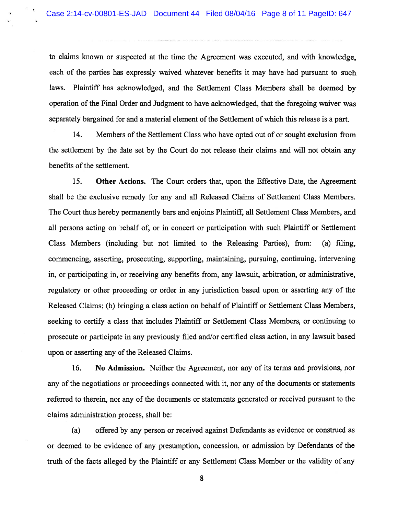to claims known or suspected at the time the Agreement was executed, and with knowledge, each of the parties has expressly waived whatever benefits it may have had pursuan<sup>t</sup> to such laws. Plaintiff has acknowledged, and the Settlement Class Members shall be deemed by operation of the Final Order and Judgment to have acknowledged, that the foregoing waiver was separately bargained for and a material element of the Settlement of which this release is a part.

14. Members of the Settlement Class who have opted out of or sought exclusion from the settlement by the date set by the Court do not release their claims and will not obtain any benefits of the settlement.

15. Other Actions. The Court orders that, upon the Effective Date, the Agreement shall be the exclusive remedy for any and all Released Claims of Settlement Class Members. The Court thus hereby permanently bars and enjoins Plaintiff, all Settlement Class Members, and all persons acting on behalf of, or in concert or participation with such Plaintiff or Settlement Class Members (including but not limited to the Releasing Parties), from: (a) filing, commencing, asserting, prosecuting, supporting, maintaining, pursuing, continuing, intervening in, or participating in, or receiving any benefits from, any lawsuit, arbitration, or administrative, regulatory or other proceeding or order in any jurisdiction based upon or asserting any of the Released Claims; (b) bringing <sup>a</sup> class action on behalf of Plaintiff or Settlement Class Members, seeking to certify <sup>a</sup> class that includes Plaintiff or Settlement Class Members, or continuing to prosecute or participate in any previously filed and/or certified class action, in any lawsuit based upon or asserting any of the Released Claims.

16. No Admission. Neither the Agreement, nor any of its terms and provisions, nor any of the negotiations or proceedings connected with it, nor any of the documents or statements referred to therein, nor any of the documents or statements generated or received pursuan<sup>t</sup> to the claims administration process, shall be:

(a) offered by any person or received against Defendants as evidence or construed as or deemed to be evidence of any presumption, concession, or admission by Defendants of the truth of the facts alleged by the Plaintiff or any Settlement Class Member or the validity of any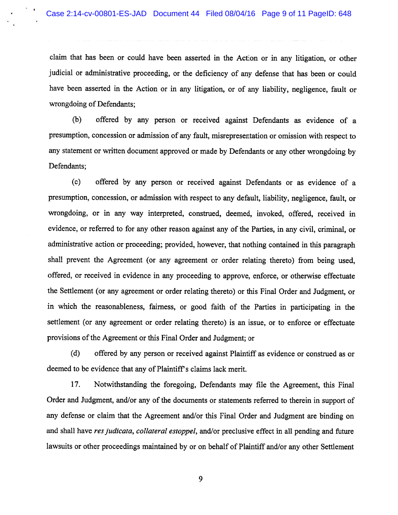claim that has been or could have been asserted in the Action or in any litigation, or other judicial or administrative proceeding, or the deficiency of any defense that has been or could have been asserted in the Action or in any litigation, or of any liability, negligence, fault or wrongdoing of Defendants;

(b) offered by any person or received against Defendants as evidence of <sup>a</sup> presumption, concession or admission of any fault, misrepresentation or omission with respec<sup>t</sup> to any statement or written document approve<sup>d</sup> or made by Defendants or any other wrongdoing by Defendants;

(c) offered by any person or received against Defendants or as evidence of <sup>a</sup> presumption, concession, or admission with respec<sup>t</sup> to any default, liability, negligence, fault, or wrongdoing, or in any way interpreted, construed, deemed, invoked, offered, received in evidence, or referred to for any other reason against any of the Parties, in any civil, criminal, or administrative action or proceeding; provided, however, that nothing contained in this paragrap<sup>h</sup> shall preven<sup>t</sup> the Agreement (or any agreemen<sup>t</sup> or order relating thereto) from being used, offered, or received in evidence in any proceeding to approve, enforce, or otherwise effectuate the Settlement (or any agreemen<sup>t</sup> or order relating thereto) or this Final Order and Judgment, or in which the reasonableness, fairness, or goo<sup>d</sup> faith of the Parties in participating in the settlement (or any agreemen<sup>t</sup> or order relating thereto) is an issue, or to enforce or effectuate provisions of the Agreement or this Final Order and Judgment; or

(d) offered by any person or received against Plaintiff as evidence or construed as or deemed to be evidence that any of Plaintiff's claims lack merit.

17. Notwithstanding the foregoing, Defendants may file the Agreement, this Final Order and Judgment, and/or any of the documents or statements referred to therein in support of any defense or claim that the Agreement and/or this Final Order and Judgment are binding on and shall have res judicata, collateral estoppel, and/or preclusive effect in all pending and future lawsuits or other proceedings maintained by or on behalf of Plaintiff and/or any other Settlement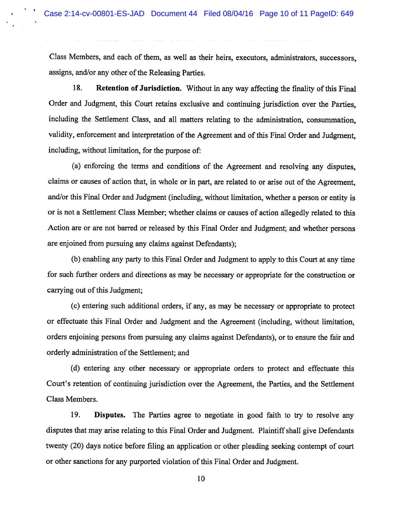Class Members, and each of them, as well as their heirs, executors, administrators, successors, assigns, and/or any other of the Releasing Parties.

18. Retention of Jurisdiction. Without in any way affecting the finality of this Final Order and Judgment, this Court retains exclusive and continuing jurisdiction over the Parties, including the Settlement Class, and all matters relating to the administration, consummation, validity, enforcement and interpretation of the Agreement and of this Final Order and Judgment, including, without limitation, for the purpose of:

(a) enforcing the tenns and conditions of the Agreement and resolving any disputes, claims or causes of action that, in whole or in part, are related to or arise out of the Agreement, and/or this Final Order and Judgment (including, without limitation, whether <sup>a</sup> person or entity is or is not <sup>a</sup> Settlement Class Member; whether claims or causes of action allegedly related to this Action are or are not barred or released by this Final Order and Judgment; and whether persons are enjoined from pursuing any claims against Defendants);

(b) enabling any party to this Final Order and Judgment to apply to this Court at any time for such further orders and directions as may be necessary or appropriate for the construction or carrying out of this Judgment;

(c) entering such additional orders, if any, as may be necessary or appropriate to protect or effectuate this Final Order and Judgment and the Agreement (including, without limitation, orders enjoining persons from pursuing any claims against Defendants), or to ensure the fair and orderly administration of the Settlement; and

(d) entering any other necessary or appropriate orders to protect and effectuate this Court's retention of continuing jurisdiction over the Agreement, the Parties, and the Settlement Class Members.

19. Disputes. The Parties agree to negotiate in good faith to try to resolve any disputes that may arise relating to this Final Order and Judgment. Plaintiff shall give Defendants twenty (20) days notice before filing an application or other pleading seeking contempt of court or other sanctions for any purported violation ofthis Final Order and Judgment.